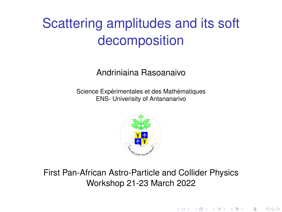# Scattering amplitudes and its soft decomposition

#### Andriniaina Rasoanaivo

Science Expérimentales et des Mathématiques ENS- Univerisity of Antananarivo



#### First Pan-African Astro-Particle and Collider Physics Workshop 21-23 March 2022

 $299$ 

重

メロト メ御 ドメ 君 ドメ 君 ド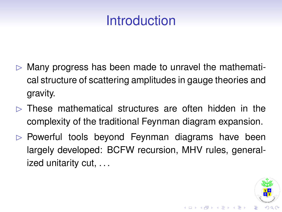## Introduction

- $\triangleright$  Many progress has been made to unravel the mathematical structure of scattering amplitudes in gauge theories and gravity.
- $\triangleright$  These mathematical structures are often hidden in the complexity of the traditional Feynman diagram expansion.
- $\triangleright$  Powerful tools beyond Feynman diagrams have been largely developed: BCFW recursion, MHV rules, generalized unitarity cut, . . .

 $($  ロ )  $($   $\overline{p}$  )  $($   $\overline{z}$  )  $($   $\overline{z}$   $)$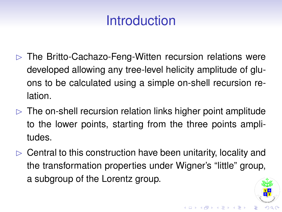## Introduction

- $\triangleright$  The Britto-Cachazo-Feng-Witten recursion relations were developed allowing any tree-level helicity amplitude of gluons to be calculated using a simple on-shell recursion relation.
- $\triangleright$  The on-shell recursion relation links higher point amplitude to the lower points, starting from the three points amplitudes.
- $\triangleright$  Central to this construction have been unitarity, locality and the transformation properties under Wigner's "little" group, a subgroup of the Lorentz group.

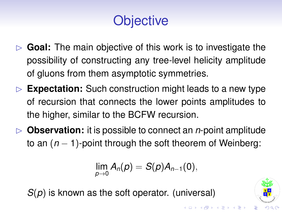# **Objective**

- **Goal:** The main objective of this work is to investigate the possibility of constructing any tree-level helicity amplitude of gluons from them asymptotic symmetries.
- $\triangleright$  **Expectation:** Such construction might leads to a new type of recursion that connects the lower points amplitudes to the higher, similar to the BCFW recursion.
- $\triangleright$  **Observation:** it is possible to connect an *n*-point amplitude to an (*n* − 1)-point through the soft theorem of Weinberg:

$$
\lim_{p\to 0}A_n(p)=S(p)A_{n-1}(0),
$$

*S*(*p*) is known as the soft operator. (universal)

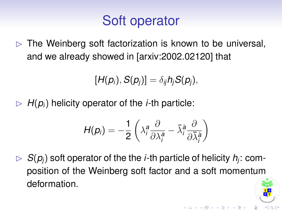## Soft operator

 $\triangleright$  The Weinberg soft factorization is known to be universal, and we already showed in [arxiv:2002.02120] that

$$
[H(p_i), S(p_j)] = \delta_{ij} h_j S(p_j),
$$

 $\triangleright$  *H*( $p_i$ ) helicity operator of the *i*-th particle:

$$
H(p_i) = -\frac{1}{2} \left( \lambda_i^a \frac{\partial}{\partial \lambda_i^a} - \bar{\lambda}_i^{\dot{a}} \frac{\partial}{\partial \bar{\lambda}_i^{\dot{a}}} \right)
$$

 $S(\rho_j)$  soft operator of the the *i*-th particle of helicity  $h_j$ : composition of the Weinberg soft factor and a soft momentum deformation.

**K ロ ト K 何 ト K ヨ ト K ヨ**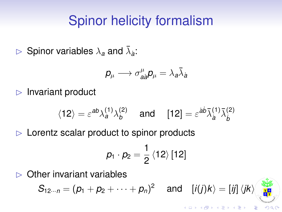#### Spinor helicity formalism

 $\triangleright$  Spinor variables  $\lambda_a$  and  $\bar{\lambda}_{\dot{a}}$ :

$$
\pmb{p}_{\mu}\longrightarrow\sigma_{\dot{a}\dot{a}}^{\mu}\pmb{p}_{\mu}=\lambda_{\boldsymbol{a}}\bar{\lambda}_{\dot{a}}
$$

 $\triangleright$  Invariant product

$$
\langle 12 \rangle = \varepsilon^{ab} \lambda_a^{(1)} \lambda_b^{(2)} \quad \text{and} \quad [12] = \varepsilon^{\dot{a}\dot{b}} \bar{\lambda}_{\dot{a}}^{(1)} \bar{\lambda}_{\dot{b}}^{(2)}
$$

 $\triangleright$  Lorentz scalar product to spinor products

$$
p_1 \cdot p_2 = \frac{1}{2} \left\langle 12 \right\rangle [12]
$$

 $\triangleright$  Other invariant variables

$$
S_{12\cdots n}=(p_1+p_2+\cdots+p_n)^2\quad\text{ and }\quad [i(j)k\rangle=[ij]\,\langle jk\rangle\Big\|_{\mathbf{H}^{\text{IV}}}
$$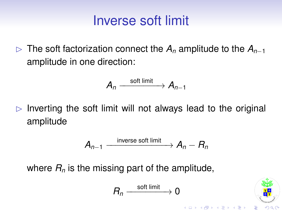#### Inverse soft limit

B The soft factorization connect the *A<sup>n</sup>* amplitude to the *An*−<sup>1</sup> amplitude in one direction:

$$
A_n \xrightarrow{\text{soft limit}} A_{n-1}
$$

 $\triangleright$  Inverting the soft limit will not always lead to the original amplitude

$$
A_{n-1} \xrightarrow{\text{inverse soft limit}} A_n - R_n
$$

where  $R_n$  is the missing part of the amplitude,

$$
R_n \xrightarrow{\text{soft limit}} 0
$$



**K ロ ト K 何 ト K ヨ ト K ヨ**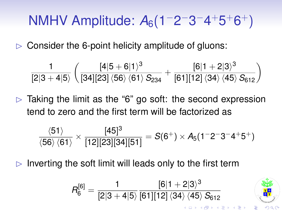# NMHV Amplitude: A<sub>6</sub>(1<sup>-</sup>2<sup>-</sup>3<sup>-</sup>4<sup>+</sup>5<sup>+</sup>6<sup>+</sup>)

 $\triangleright$  Consider the 6-point helicity amplitude of gluons:

$$
\frac{1}{[2|3+4|5\rangle}\left(\frac{[4|5+6|1\rangle^3}{[34][23]\left\langle 56\right\rangle\left\langle 61\right\rangle S_{234}}+\frac{[6|1+2|3\rangle^3}{[61][12]\left\langle 34\right\rangle\left\langle 45\right\rangle S_{612}}\right)
$$

 $\triangleright$  Taking the limit as the "6" go soft: the second expression tend to zero and the first term will be factorized as

$$
\frac{\langle 51 \rangle}{\langle 56 \rangle\,\langle 61 \rangle} \times \frac{[45]^3}{[12][23][34][51]} = S(6^+) \times A_5(1^-2^-3^-4^+5^+)
$$

Inverting the soft limit will leads only to the first term

$$
R_6^{[6]} = \frac{1}{[2|3+4|5|}\frac{[6|1+2|3\rangle^3}{[61][12]\,\langle 34\rangle\,\langle 45\rangle\,S_{612}}
$$

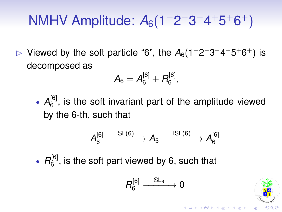# NMHV Amplitude: A<sub>6</sub>(1<sup>-</sup>2<sup>-</sup>3<sup>-</sup>4<sup>+</sup>5<sup>+</sup>6<sup>+</sup>)

 $\triangleright$  Viewed by the soft particle "6", the  $A_6(1-2-3-4+5+6+)$  is decomposed as

$$
A_6 = A_6^{[6]} + B_6^{[6]}, \quad
$$

•  $A_6^{[6]}$  $_6^{\circ}$ , is the soft invariant part of the amplitude viewed by the 6-th, such that

$$
A_6^{[6]} \xrightarrow{\phantom{a}SL(6)} A_5 \xrightarrow{\phantom{a}ISL(6)} A_6^{[6]}
$$

•  $R_6^{[6]}$  $_6^{\circ}$ , is the soft part viewed by 6, such that

$$
R_6^{[6]}\xrightarrow{\quad SL_6\quad\quad} 0
$$



 $($   $\Box$   $\rightarrow$   $($  $\overline{p}$   $\rightarrow$   $($   $\overline{z}$   $\rightarrow$   $($   $\overline{z}$   $\rightarrow$   $($   $\overline{z}$   $\rightarrow$   $($   $\overline{z}$   $\rightarrow$   $($   $\overline{z}$   $\rightarrow$   $($   $\overline{z}$   $\rightarrow$   $($   $\overline{z}$   $\rightarrow$   $($   $\overline{z}$   $\rightarrow$   $($   $\overline{z}$   $\rightarrow$   $($   $\overline{z}$   $\rightarrow$   $($   $\overline{z$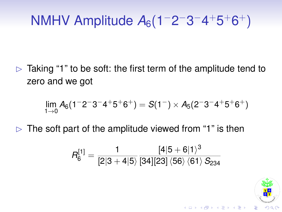# NMHV Amplitude A<sub>6</sub>(1<sup>-</sup>2<sup>-</sup>3<sup>-</sup>4<sup>+</sup>5<sup>+</sup>6<sup>+</sup>)

 $\triangleright$  Taking "1" to be soft: the first term of the amplitude tend to zero and we got

$$
\lim_{1 \to 0} A_6(1^-2^-3^-4^+5^+6^+) = S(1^-) \times A_5(2^-3^-4^+5^+6^+)
$$

 $\triangleright$  The soft part of the amplitude viewed from "1" is then

$$
R_6^{[1]} = \frac{1}{[2|3+4|5\rangle} \frac{[4|5+6|1\rangle^3}{[34][23]\left\langle 56 \right\rangle \left\langle 61 \right\rangle S_{234}}
$$



**K ロ ト K 何 ト K ヨ ト K ヨ**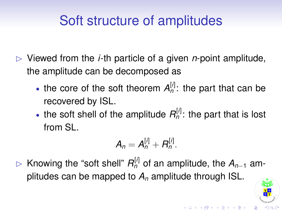## Soft structure of amplitudes

- $\triangleright$  Viewed from the *i*-th particle of a given *n*-point amplitude, the amplitude can be decomposed as
	- the core of the soft theorem  $A_n^{[i]}$ : the part that can be recovered by ISL.
	- the soft shell of the amplitude  $R_n^{[l]}$ : the part that is lost from SL.

$$
A_n=A_n^{[i]}+B_n^{[i]}.
$$

B Knowing the "soft shell" *R* [*i*] *<sup>n</sup>* of an amplitude, the *An*−<sup>1</sup> amplitudes can be mapped to *A<sup>n</sup>* amplitude through ISL.

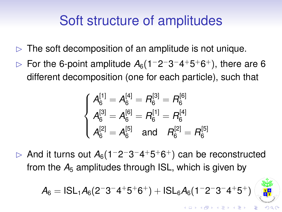### Soft structure of amplitudes

- $\triangleright$  The soft decomposition of an amplitude is not unique.
- $\triangleright$  For the 6-point amplitude  $A_6(1-2-3-4+5+6+)$ , there are 6 different decomposition (one for each particle), such that

$$
\begin{cases}\nA_6^{[1]} = A_6^{[4]} = R_6^{[3]} = R_6^{[6]} \\
A_6^{[3]} = A_6^{[6]} = R_6^{[1]} = R_6^{[4]} \\
A_6^{[2]} = A_6^{[5]} \quad \text{and} \quad R_6^{[2]} = R_6^{[5]}\n\end{cases}
$$

 $\triangleright$  And it turns out  $A_6(1-2-3-4+5+6+)$  can be reconstructed from the  $A_5$  amplitudes through ISL, which is given by

$$
A_6=|\text{SL}_1A_6(2^-3^-4^+5^+6^+)+|\text{SL}_6A_6(1^-2^-3^-4^+5^+)
$$



 $(0.125 \times 10^{-11})$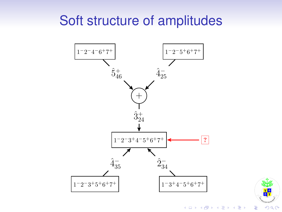#### Soft structure of amplitudes





(ロ)→(個)→(理)→(理)→